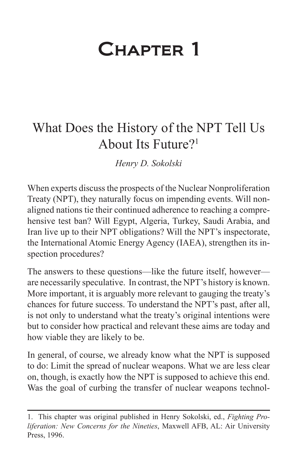# Chapter 1

## What Does the History of the NPT Tell Us About Its Future?1

*Henry D. Sokolski*

When experts discuss the prospects of the Nuclear Nonproliferation Treaty (NPT), they naturally focus on impending events. Will nonaligned nations tie their continued adherence to reaching a comprehensive test ban? Will Egypt, Algeria, Turkey, Saudi Arabia, and Iran live up to their NPT obligations? Will the NPT's inspectorate, the International Atomic Energy Agency (IAEA), strengthen its inspection procedures?

The answers to these questions—like the future itself, however are necessarily speculative. In contrast, the NPT's history is known. More important, it is arguably more relevant to gauging the treaty's chances for future success. To understand the NPT's past, after all, is not only to understand what the treaty's original intentions were but to consider how practical and relevant these aims are today and how viable they are likely to be.

In general, of course, we already know what the NPT is supposed to do: Limit the spread of nuclear weapons. What we are less clear on, though, is exactly how the NPT is supposed to achieve this end. Was the goal of curbing the transfer of nuclear weapons technol-

<sup>1.</sup> This chapter was original published in Henry Sokolski, ed., *Fighting Proliferation: New Concerns for the Nineties*, Maxwell AFB, AL: Air University Press, 1996.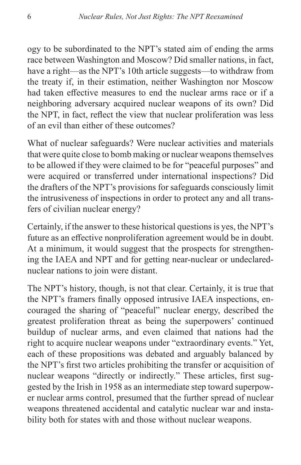ogy to be subordinated to the NPT's stated aim of ending the arms race between Washington and Moscow? Did smaller nations, in fact, have a right—as the NPT's 10th article suggests—to withdraw from the treaty if, in their estimation, neither Washington nor Moscow had taken effective measures to end the nuclear arms race or if a neighboring adversary acquired nuclear weapons of its own? Did the NPT, in fact, reflect the view that nuclear proliferation was less of an evil than either of these outcomes?

What of nuclear safeguards? Were nuclear activities and materials that were quite close to bomb making or nuclear weapons themselves to be allowed if they were claimed to be for "peaceful purposes" and were acquired or transferred under international inspections? Did the drafters of the NPT's provisions for safeguards consciously limit the intrusiveness of inspections in order to protect any and all transfers of civilian nuclear energy?

Certainly, if the answer to these historical questions is yes, the NPT's future as an effective nonproliferation agreement would be in doubt. At a minimum, it would suggest that the prospects for strengthening the IAEA and NPT and for getting near-nuclear or undeclarednuclear nations to join were distant.

The NPT's history, though, is not that clear. Certainly, it is true that the NPT's framers finally opposed intrusive IAEA inspections, encouraged the sharing of "peaceful" nuclear energy, described the greatest proliferation threat as being the superpowers' continued buildup of nuclear arms, and even claimed that nations had the right to acquire nuclear weapons under "extraordinary events." Yet, each of these propositions was debated and arguably balanced by the NPT's first two articles prohibiting the transfer or acquisition of nuclear weapons "directly or indirectly." These articles, first suggested by the Irish in 1958 as an intermediate step toward superpower nuclear arms control, presumed that the further spread of nuclear weapons threatened accidental and catalytic nuclear war and instability both for states with and those without nuclear weapons.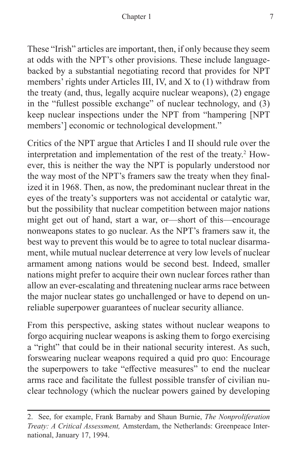These "Irish" articles are important, then, if only because they seem at odds with the NPT's other provisions. These include languagebacked by a substantial negotiating record that provides for NPT members' rights under Articles III, IV, and X to (1) withdraw from the treaty (and, thus, legally acquire nuclear weapons), (2) engage in the "fullest possible exchange" of nuclear technology, and (3) keep nuclear inspections under the NPT from "hampering [NPT members'] economic or technological development."

Critics of the NPT argue that Articles I and II should rule over the interpretation and implementation of the rest of the treaty.<sup>2</sup> However, this is neither the way the NPT is popularly understood nor the way most of the NPT's framers saw the treaty when they finalized it in 1968. Then, as now, the predominant nuclear threat in the eyes of the treaty's supporters was not accidental or catalytic war, but the possibility that nuclear competition between major nations might get out of hand, start a war, or—short of this—encourage nonweapons states to go nuclear. As the NPT's framers saw it, the best way to prevent this would be to agree to total nuclear disarmament, while mutual nuclear deterrence at very low levels of nuclear armament among nations would be second best. Indeed, smaller nations might prefer to acquire their own nuclear forces rather than allow an ever-escalating and threatening nuclear arms race between the major nuclear states go unchallenged or have to depend on unreliable superpower guarantees of nuclear security alliance.

From this perspective, asking states without nuclear weapons to forgo acquiring nuclear weapons is asking them to forgo exercising a "right" that could be in their national security interest. As such, forswearing nuclear weapons required a quid pro quo: Encourage the superpowers to take "effective measures" to end the nuclear arms race and facilitate the fullest possible transfer of civilian nuclear technology (which the nuclear powers gained by developing

<sup>2.</sup> See, for example, Frank Barnaby and Shaun Burnie, *The Nonproliferation Treaty: A Critical Assessment,* Amsterdam, the Netherlands: Greenpeace International, January 17, 1994.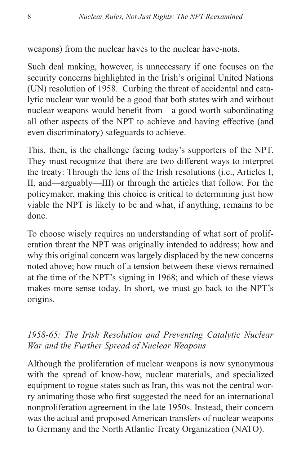weapons) from the nuclear haves to the nuclear have-nots.

Such deal making, however, is unnecessary if one focuses on the security concerns highlighted in the Irish's original United Nations (UN) resolution of 1958. Curbing the threat of accidental and catalytic nuclear war would be a good that both states with and without nuclear weapons would benefit from—a good worth subordinating all other aspects of the NPT to achieve and having effective (and even discriminatory) safeguards to achieve.

This, then, is the challenge facing today's supporters of the NPT. They must recognize that there are two different ways to interpret the treaty: Through the lens of the Irish resolutions (i.e., Articles I, II, and—arguably—III) or through the articles that follow. For the policymaker, making this choice is critical to determining just how viable the NPT is likely to be and what, if anything, remains to be done.

To choose wisely requires an understanding of what sort of proliferation threat the NPT was originally intended to address; how and why this original concern was largely displaced by the new concerns noted above; how much of a tension between these views remained at the time of the NPT's signing in 1968; and which of these views makes more sense today. In short, we must go back to the NPT's origins.

### *1958-65: The Irish Resolution and Preventing Catalytic Nuclear War and the Further Spread of Nuclear Weapons*

Although the proliferation of nuclear weapons is now synonymous with the spread of know-how, nuclear materials, and specialized equipment to rogue states such as Iran, this was not the central worry animating those who first suggested the need for an international nonproliferation agreement in the late 1950s. Instead, their concern was the actual and proposed American transfers of nuclear weapons to Germany and the North Atlantic Treaty Organization (NATO).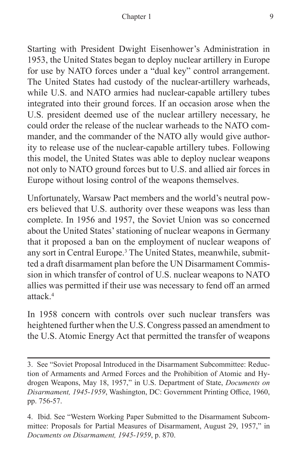Starting with President Dwight Eisenhower's Administration in 1953, the United States began to deploy nuclear artillery in Europe for use by NATO forces under a "dual key" control arrangement. The United States had custody of the nuclear-artillery warheads, while U.S. and NATO armies had nuclear-capable artillery tubes integrated into their ground forces. If an occasion arose when the U.S. president deemed use of the nuclear artillery necessary, he could order the release of the nuclear warheads to the NATO commander, and the commander of the NATO ally would give authority to release use of the nuclear-capable artillery tubes. Following this model, the United States was able to deploy nuclear weapons not only to NATO ground forces but to U.S. and allied air forces in Europe without losing control of the weapons themselves.

Unfortunately, Warsaw Pact members and the world's neutral powers believed that U.S. authority over these weapons was less than complete. In 1956 and 1957, the Soviet Union was so concerned about the United States' stationing of nuclear weapons in Germany that it proposed a ban on the employment of nuclear weapons of any sort in Central Europe.<sup>3</sup> The United States, meanwhile, submitted a draft disarmament plan before the UN Disarmament Commission in which transfer of control of U.S. nuclear weapons to NATO allies was permitted if their use was necessary to fend off an armed attack $4$ 

In 1958 concern with controls over such nuclear transfers was heightened further when the U.S. Congress passed an amendment to the U.S. Atomic Energy Act that permitted the transfer of weapons

<sup>3.</sup> See "Soviet Proposal Introduced in the Disarmament Subcommittee: Reduction of Armaments and Armed Forces and the Prohibition of Atomic and Hydrogen Weapons, May 18, 1957," in U.S. Department of State, *Documents on Disarmament, 1945-1959*, Washington, DC: Government Printing Office, 1960, pp. 756-57.

<sup>4.</sup> Ibid. See "Western Working Paper Submitted to the Disarmament Subcommittee: Proposals for Partial Measures of Disarmament, August 29, 1957," in *Documents on Disarmament, 1945-1959*, p. 870.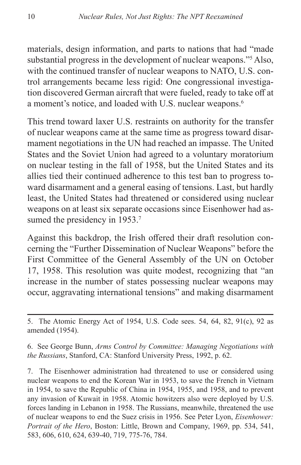materials, design information, and parts to nations that had "made substantial progress in the development of nuclear weapons."5 Also, with the continued transfer of nuclear weapons to NATO, U.S. control arrangements became less rigid: One congressional investigation discovered German aircraft that were fueled, ready to take off at a moment's notice, and loaded with U.S. nuclear weapons.<sup>6</sup>

This trend toward laxer U.S. restraints on authority for the transfer of nuclear weapons came at the same time as progress toward disarmament negotiations in the UN had reached an impasse. The United States and the Soviet Union had agreed to a voluntary moratorium on nuclear testing in the fall of 1958, but the United States and its allies tied their continued adherence to this test ban to progress toward disarmament and a general easing of tensions. Last, but hardly least, the United States had threatened or considered using nuclear weapons on at least six separate occasions since Eisenhower had assumed the presidency in 1953.<sup>7</sup>

Against this backdrop, the Irish offered their draft resolution concerning the "Further Dissemination of Nuclear Weapons" before the First Committee of the General Assembly of the UN on October 17, 1958. This resolution was quite modest, recognizing that "an increase in the number of states possessing nuclear weapons may occur, aggravating international tensions" and making disarmament

<sup>5.</sup> The Atomic Energy Act of 1954, U.S. Code sees. 54, 64, 82, 91(c), 92 as amended (1954).

<sup>6.</sup> See George Bunn, *Arms Control by Committee: Managing Negotiations with the Russians*, Stanford, CA: Stanford University Press, 1992, p. 62.

<sup>7.</sup> The Eisenhower administration had threatened to use or considered using nuclear weapons to end the Korean War in 1953, to save the French in Vietnam in 1954, to save the Republic of China in 1954, 1955, and 1958, and to prevent any invasion of Kuwait in 1958. Atomic howitzers also were deployed by U.S. forces landing in Lebanon in 1958. The Russians, meanwhile, threatened the use of nuclear weapons to end the Suez crisis in 1956. See Peter Lyon, *Eisenhower: Portrait of the Hero*, Boston: Little, Brown and Company, 1969, pp. 534, 541, 583, 606, 610, 624, 639-40, 719, 775-76, 784.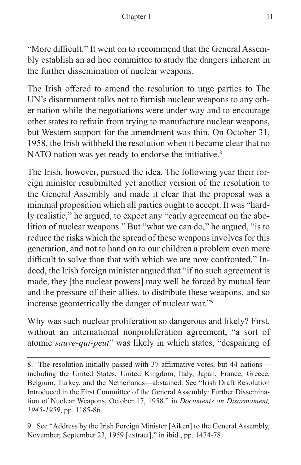"More difficult." It went on to recommend that the General Assembly establish an ad hoc committee to study the dangers inherent in the further dissemination of nuclear weapons.

The Irish offered to amend the resolution to urge parties to The UN's disarmament talks not to furnish nuclear weapons to any other nation while the negotiations were under way and to encourage other states to refrain from trying to manufacture nuclear weapons, but Western support for the amendment was thin. On October 31, 1958, the Irish withheld the resolution when it became clear that no NATO nation was yet ready to endorse the initiative.<sup>8</sup>

The Irish, however, pursued the idea. The following year their foreign minister resubmitted yet another version of the resolution to the General Assembly and made it clear that the proposal was a minimal proposition which all parties ought to accept. It was "hardly realistic," he argued, to expect any "early agreement on the abolition of nuclear weapons." But "what we can do," he argued, "is to reduce the risks which the spread of these weapons involves for this generation, and not to hand on to our children a problem even more difficult to solve than that with which we are now confronted." Indeed, the Irish foreign minister argued that "if no such agreement is made, they [the nuclear powers] may well be forced by mutual fear and the pressure of their allies, to distribute these weapons, and so increase geometrically the danger of nuclear war."9

Why was such nuclear proliferation so dangerous and likely? First, without an international nonproliferation agreement, "a sort of atomic *sauve-qui-peut*" was likely in which states, "despairing of

9. See "Address by the Irish Foreign Minister [Aiken] to the General Assembly, November, September 23, 1959 [extract]," in ibid., pp. 1474-78.

<sup>8.</sup> The resolution initially passed with 37 affirmative votes, but 44 nations including the United States, United Kingdom, Italy, Japan, France, Greece, Belgium, Turkey, and the Netherlands—abstained. See "Irish Draft Resolution Introduced in the First Committee of the General Assembly: Further Dissemination of Nuclear Weapons, October 17, 1958," in *Documents on Disarmament, 1945-1959*, pp. 1185-86.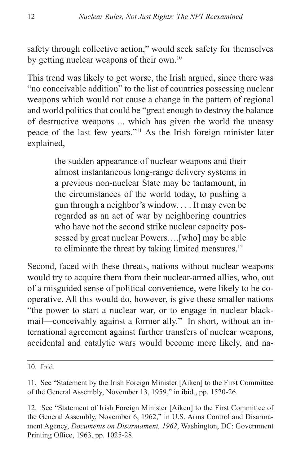safety through collective action," would seek safety for themselves by getting nuclear weapons of their own.<sup>10</sup>

This trend was likely to get worse, the Irish argued, since there was "no conceivable addition" to the list of countries possessing nuclear weapons which would not cause a change in the pattern of regional and world politics that could be "great enough to destroy the balance of destructive weapons ... which has given the world the uneasy peace of the last few years."11 As the Irish foreign minister later explained,

> the sudden appearance of nuclear weapons and their almost instantaneous long-range delivery systems in a previous non-nuclear State may be tantamount, in the circumstances of the world today, to pushing a gun through a neighbor's window. . . . It may even be regarded as an act of war by neighboring countries who have not the second strike nuclear capacity possessed by great nuclear Powers….[who] may be able to eliminate the threat by taking limited measures.<sup>12</sup>

Second, faced with these threats, nations without nuclear weapons would try to acquire them from their nuclear-armed allies, who, out of a misguided sense of political convenience, were likely to be cooperative. All this would do, however, is give these smaller nations "the power to start a nuclear war, or to engage in nuclear blackmail—conceivably against a former ally." In short, without an international agreement against further transfers of nuclear weapons, accidental and catalytic wars would become more likely, and na-

<sup>10.</sup> Ibid.

<sup>11.</sup> See "Statement by the Irish Foreign Minister [Aiken] to the First Committee of the General Assembly, November 13, 1959," in ibid., pp. 1520-26.

<sup>12.</sup> See "Statement of Irish Foreign Minister [Aiken] to the First Committee of the General Assembly, November 6, 1962," in U.S. Arms Control and Disarmament Agency, *Documents on Disarmament, 1962*, Washington, DC: Government Printing Office, 1963, pp. 1025-28.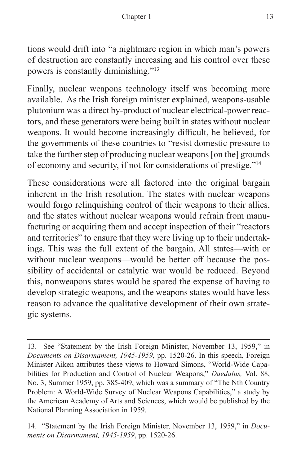tions would drift into "a nightmare region in which man's powers of destruction are constantly increasing and his control over these powers is constantly diminishing."13

Finally, nuclear weapons technology itself was becoming more available. As the Irish foreign minister explained, weapons-usable plutonium was a direct by-product of nuclear electrical-power reactors, and these generators were being built in states without nuclear weapons. It would become increasingly difficult, he believed, for the governments of these countries to "resist domestic pressure to take the further step of producing nuclear weapons [on the] grounds of economy and security, if not for considerations of prestige."14

These considerations were all factored into the original bargain inherent in the Irish resolution. The states with nuclear weapons would forgo relinquishing control of their weapons to their allies, and the states without nuclear weapons would refrain from manufacturing or acquiring them and accept inspection of their "reactors and territories" to ensure that they were living up to their undertakings. This was the full extent of the bargain. All states—with or without nuclear weapons—would be better off because the possibility of accidental or catalytic war would be reduced. Beyond this, nonweapons states would be spared the expense of having to develop strategic weapons, and the weapons states would have less reason to advance the qualitative development of their own strategic systems.

14. "Statement by the Irish Foreign Minister, November 13, 1959," in *Documents on Disarmament, 1945-1959*, pp. 1520-26.

<sup>13.</sup> See "Statement by the Irish Foreign Minister, November 13, 1959," in *Documents on Disarmament, 1945-1959*, pp. 1520-26. In this speech, Foreign Minister Aiken attributes these views to Howard Simons, "World-Wide Capabilities for Production and Control of Nuclear Weapons," *Daedalus,* Vol. 88, No. 3, Summer 1959, pp. 385-409, which was a summary of "The Nth Country Problem: A World-Wide Survey of Nuclear Weapons Capabilities," a study by the American Academy of Arts and Sciences, which would be published by the National Planning Association in 1959.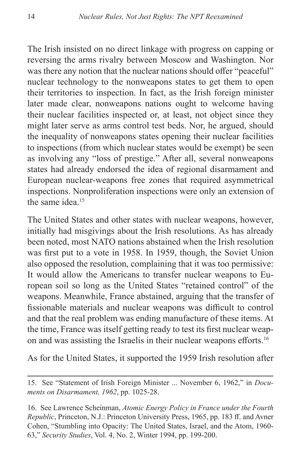The Irish insisted on no direct linkage with progress on capping or reversing the arms rivalry between Moscow and Washington. Nor was there any notion that the nuclear nations should offer "peaceful" nuclear technology to the nonweapons states to get them to open their territories to inspection. In fact, as the Irish foreign minister later made clear, nonweapons nations ought to welcome having their nuclear facilities inspected or, at least, not object since they might later serve as arms control test beds. Nor, he argued, should the inequality of nonweapons states opening their nuclear facilities to inspections (from which nuclear states would be exempt) be seen as involving any "loss of prestige." After all, several nonweapons states had already endorsed the idea of regional disarmament and European nuclear-weapons free zones that required asymmetrical inspections. Nonproliferation inspections were only an extension of the same idea.<sup>15</sup>

The United States and other states with nuclear weapons, however, initially had misgivings about the Irish resolutions. As has already been noted, most NATO nations abstained when the Irish resolution was first put to a vote in 1958. In 1959, though, the Soviet Union also opposed the resolution, complaining that it was too permissive: It would allow the Americans to transfer nuclear weapons to European soil so long as the United States "retained control" of the weapons. Meanwhile, France abstained, arguing that the transfer of fissionable materials and nuclear weapons was difficult to control and that the real problem was ending manufacture of these items. At the time, France was itself getting ready to test its first nuclear weapon and was assisting the Israelis in their nuclear weapons efforts.<sup>16</sup>

As for the United States, it supported the 1959 Irish resolution after

<sup>15.</sup> See "Statement of Irish Foreign Minister ... November 6, 1962," in *Documents on Disarmament, 1962*, pp. 1025-28.

<sup>16.</sup> See Lawrence Scheinman, *Atomic Energy Policy in France under the Fourth Republic*, Princeton, N.J.: Princeton University Press, 1965, pp. 183 ff. and Avner Cohen, "Stumbling into Opacity: The United States, Israel, and the Atom, 1960- 63," *Security Studies*, Vol. 4, No. 2, Winter 1994, pp. 199-200.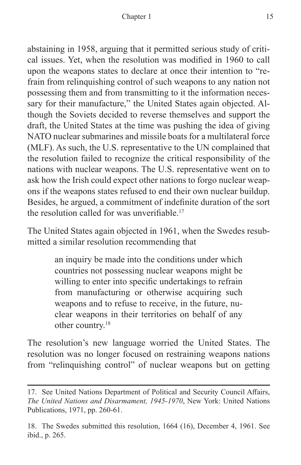abstaining in 1958, arguing that it permitted serious study of critical issues. Yet, when the resolution was modified in 1960 to call upon the weapons states to declare at once their intention to "refrain from relinquishing control of such weapons to any nation not possessing them and from transmitting to it the information necessary for their manufacture," the United States again objected. Although the Soviets decided to reverse themselves and support the draft, the United States at the time was pushing the idea of giving NATO nuclear submarines and missile boats for a multilateral force (MLF). As such, the U.S. representative to the UN complained that the resolution failed to recognize the critical responsibility of the nations with nuclear weapons. The U.S. representative went on to ask how the Irish could expect other nations to forgo nuclear weapons if the weapons states refused to end their own nuclear buildup. Besides, he argued, a commitment of indefinite duration of the sort the resolution called for was unverifiable.<sup>17</sup>

The United States again objected in 1961, when the Swedes resubmitted a similar resolution recommending that

> an inquiry be made into the conditions under which countries not possessing nuclear weapons might be willing to enter into specific undertakings to refrain from manufacturing or otherwise acquiring such weapons and to refuse to receive, in the future, nuclear weapons in their territories on behalf of any other country.18

The resolution's new language worried the United States. The resolution was no longer focused on restraining weapons nations from "relinquishing control" of nuclear weapons but on getting

<sup>17.</sup> See United Nations Department of Political and Security Council Affairs, *The United Nations and Disarmament, 1945-1970*, New York: United Nations Publications, 1971, pp. 260-61.

<sup>18.</sup> The Swedes submitted this resolution, 1664 (16), December 4, 1961. See ibid., p. 265.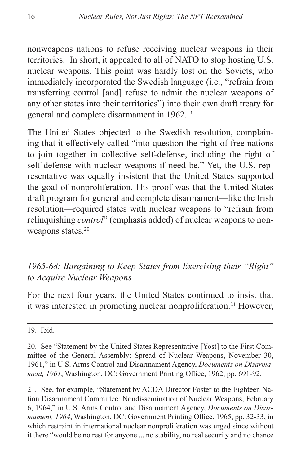nonweapons nations to refuse receiving nuclear weapons in their territories. In short, it appealed to all of NATO to stop hosting U.S. nuclear weapons. This point was hardly lost on the Soviets, who immediately incorporated the Swedish language (i.e., "refrain from transferring control [and] refuse to admit the nuclear weapons of any other states into their territories") into their own draft treaty for general and complete disarmament in 1962.19

The United States objected to the Swedish resolution, complaining that it effectively called "into question the right of free nations to join together in collective self-defense, including the right of self-defense with nuclear weapons if need be." Yet, the U.S. representative was equally insistent that the United States supported the goal of nonproliferation. His proof was that the United States draft program for general and complete disarmament—like the Irish resolution—required states with nuclear weapons to "refrain from relinquishing *control*" (emphasis added) of nuclear weapons to nonweapons states.<sup>20</sup>

### *1965-68: Bargaining to Keep States from Exercising their "Right" to Acquire Nuclear Weapons*

For the next four years, the United States continued to insist that it was interested in promoting nuclear nonproliferation.<sup>21</sup> However,

19. Ibid.

21. See, for example, "Statement by ACDA Director Foster to the Eighteen Nation Disarmament Committee: Nondissemination of Nuclear Weapons, February 6, 1964," in U.S. Arms Control and Disarmament Agency, *Documents on Disarmament, 1964*, Washington, DC: Government Printing Office, 1965, pp. 32-33, in which restraint in international nuclear nonproliferation was urged since without it there "would be no rest for anyone ... no stability, no real security and no chance

<sup>20.</sup> See "Statement by the United States Representative [Yost] to the First Committee of the General Assembly: Spread of Nuclear Weapons, November 30, 1961," in U.S. Arms Control and Disarmament Agency, *Documents on Disarmament, 1961*, Washington, DC: Government Printing Office, 1962, pp. 691-92.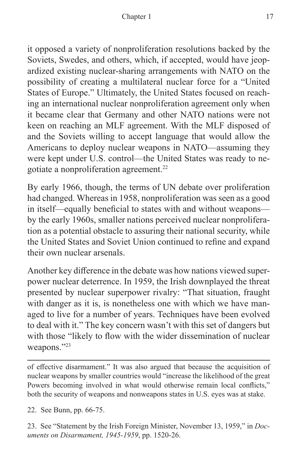it opposed a variety of nonproliferation resolutions backed by the Soviets, Swedes, and others, which, if accepted, would have jeopardized existing nuclear-sharing arrangements with NATO on the possibility of creating a multilateral nuclear force for a "United States of Europe." Ultimately, the United States focused on reaching an international nuclear nonproliferation agreement only when it became clear that Germany and other NATO nations were not keen on reaching an MLF agreement. With the MLF disposed of and the Soviets willing to accept language that would allow the Americans to deploy nuclear weapons in NATO—assuming they were kept under U.S. control—the United States was ready to negotiate a nonproliferation agreement.22

By early 1966, though, the terms of UN debate over proliferation had changed. Whereas in 1958, nonproliferation was seen as a good in itself—equally beneficial to states with and without weapons by the early 1960s, smaller nations perceived nuclear nonproliferation as a potential obstacle to assuring their national security, while the United States and Soviet Union continued to refine and expand their own nuclear arsenals.

Another key difference in the debate was how nations viewed superpower nuclear deterrence. In 1959, the Irish downplayed the threat presented by nuclear superpower rivalry: "That situation, fraught with danger as it is, is nonetheless one with which we have managed to live for a number of years. Techniques have been evolved to deal with it." The key concern wasn't with this set of dangers but with those "likely to flow with the wider dissemination of nuclear weapons."23

of effective disarmament." It was also argued that because the acquisition of nuclear weapons by smaller countries would "increase the likelihood of the great Powers becoming involved in what would otherwise remain local conflicts," both the security of weapons and nonweapons states in U.S. eyes was at stake.

22. See Bunn, pp. 66-75.

23. See "Statement by the Irish Foreign Minister, November 13, 1959," in *Documents on Disarmament, 1945-1959*, pp. 1520-26.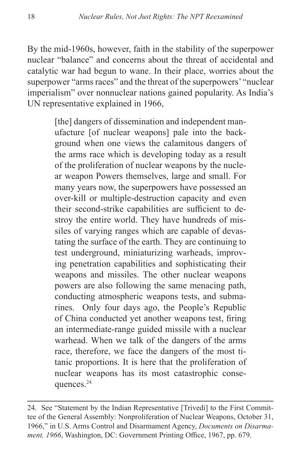By the mid-1960s, however, faith in the stability of the superpower nuclear "balance" and concerns about the threat of accidental and catalytic war had begun to wane. In their place, worries about the superpower "arms races" and the threat of the superpowers' "nuclear imperialism" over nonnuclear nations gained popularity. As India's UN representative explained in 1966,

> [the] dangers of dissemination and independent manufacture [of nuclear weapons] pale into the background when one views the calamitous dangers of the arms race which is developing today as a result of the proliferation of nuclear weapons by the nuclear weapon Powers themselves, large and small. For many years now, the superpowers have possessed an over-kill or multiple-destruction capacity and even their second-strike capabilities are sufficient to destroy the entire world. They have hundreds of missiles of varying ranges which are capable of devastating the surface of the earth. They are continuing to test underground, miniaturizing warheads, improving penetration capabilities and sophisticating their weapons and missiles. The other nuclear weapons powers are also following the same menacing path, conducting atmospheric weapons tests, and submarines. Only four days ago, the People's Republic of China conducted yet another weapons test, firing an intermediate-range guided missile with a nuclear warhead. When we talk of the dangers of the arms race, therefore, we face the dangers of the most titanic proportions. It is here that the proliferation of nuclear weapons has its most catastrophic consequences.24

<sup>24.</sup> See "Statement by the Indian Representative [Trivedi] to the First Committee of the General Assembly: Nonproliferation of Nuclear Weapons, October 31, 1966," in U.S. Arms Control and Disarmament Agency, *Documents on Disarmament, 1966*, Washington, DC: Government Printing Office, 1967, pp. 679.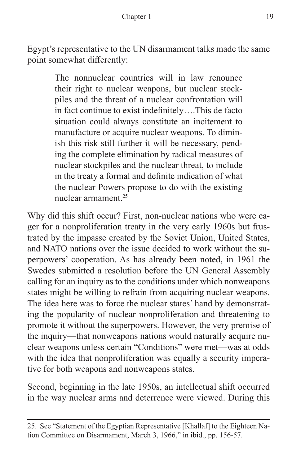Egypt's representative to the UN disarmament talks made the same point somewhat differently:

> The nonnuclear countries will in law renounce their right to nuclear weapons, but nuclear stockpiles and the threat of a nuclear confrontation will in fact continue to exist indefinitely….This de facto situation could always constitute an incitement to manufacture or acquire nuclear weapons. To diminish this risk still further it will be necessary, pending the complete elimination by radical measures of nuclear stockpiles and the nuclear threat, to include in the treaty a formal and definite indication of what the nuclear Powers propose to do with the existing nuclear armament.25

Why did this shift occur? First, non-nuclear nations who were eager for a nonproliferation treaty in the very early 1960s but frustrated by the impasse created by the Soviet Union, United States, and NATO nations over the issue decided to work without the superpowers' cooperation. As has already been noted, in 1961 the Swedes submitted a resolution before the UN General Assembly calling for an inquiry as to the conditions under which nonweapons states might be willing to refrain from acquiring nuclear weapons. The idea here was to force the nuclear states' hand by demonstrating the popularity of nuclear nonproliferation and threatening to promote it without the superpowers. However, the very premise of the inquiry—that nonweapons nations would naturally acquire nuclear weapons unless certain "Conditions" were met—was at odds with the idea that nonproliferation was equally a security imperative for both weapons and nonweapons states.

Second, beginning in the late 1950s, an intellectual shift occurred in the way nuclear arms and deterrence were viewed. During this

<sup>25.</sup> See "Statement of the Egyptian Representative [Khallaf] to the Eighteen Nation Committee on Disarmament, March 3, 1966," in ibid., pp. 156-57.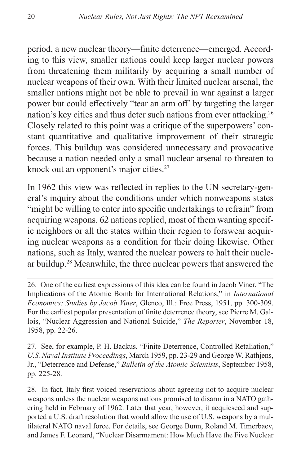period, a new nuclear theory—finite deterrence—emerged. According to this view, smaller nations could keep larger nuclear powers from threatening them militarily by acquiring a small number of nuclear weapons of their own. With their limited nuclear arsenal, the smaller nations might not be able to prevail in war against a larger power but could effectively "tear an arm off' by targeting the larger nation's key cities and thus deter such nations from ever attacking.26 Closely related to this point was a critique of the superpowers' constant quantitative and qualitative improvement of their strategic forces. This buildup was considered unnecessary and provocative because a nation needed only a small nuclear arsenal to threaten to knock out an opponent's major cities.27

In 1962 this view was reflected in replies to the UN secretary-general's inquiry about the conditions under which nonweapons states "might be willing to enter into specific undertakings to refrain" from acquiring weapons. 62 nations replied, most of them wanting specific neighbors or all the states within their region to forswear acquiring nuclear weapons as a condition for their doing likewise. Other nations, such as Italy, wanted the nuclear powers to halt their nuclear buildup.28 Meanwhile, the three nuclear powers that answered the

26. One of the earliest expressions of this idea can be found in Jacob Viner, "The Implications of the Atomic Bomb for International Relations," in *International Economics: Studies by Jacob Viner*, Glenco, Ill.: Free Press, 1951, pp. 300-309. For the earliest popular presentation of finite deterrence theory, see Pierre M. Gallois, "Nuclear Aggression and National Suicide," *The Reporter*, November 18, 1958, pp. 22-26.

27. See, for example, P. H. Backus, "Finite Deterrence, Controlled Retaliation," *U.S. Naval Institute Proceedings*, March 1959, pp. 23-29 and George W. Rathjens, Jr., "Deterrence and Defense," *Bulletin of the Atomic Scientists*, September 1958, pp. 225-28.

28. In fact, Italy first voiced reservations about agreeing not to acquire nuclear weapons unless the nuclear weapons nations promised to disarm in a NATO gathering held in February of 1962. Later that year, however, it acquiesced and supported a U.S. draft resolution that would allow the use of U.S. weapons by a multilateral NATO naval force. For details, see George Bunn, Roland M. Timerbaev, and James F. Leonard, "Nuclear Disarmament: How Much Have the Five Nuclear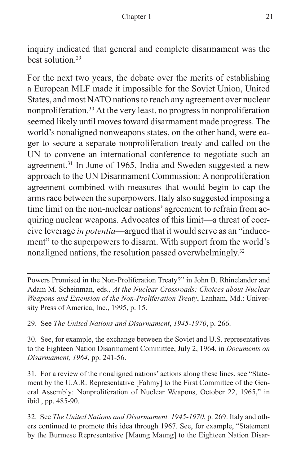inquiry indicated that general and complete disarmament was the best solution.29

For the next two years, the debate over the merits of establishing a European MLF made it impossible for the Soviet Union, United States, and most NATO nations to reach any agreement over nuclear nonproliferation.30 At the very least, no progress in nonproliferation seemed likely until moves toward disarmament made progress. The world's nonaligned nonweapons states, on the other hand, were eager to secure a separate nonproliferation treaty and called on the UN to convene an international conference to negotiate such an agreement.<sup>31</sup> In June of 1965, India and Sweden suggested a new approach to the UN Disarmament Commission: A nonproliferation agreement combined with measures that would begin to cap the arms race between the superpowers. Italy also suggested imposing a time limit on the non-nuclear nations' agreement to refrain from acquiring nuclear weapons. Advocates of this limit—a threat of coercive leverage *in potentia*—argued that it would serve as an "inducement" to the superpowers to disarm. With support from the world's nonaligned nations, the resolution passed overwhelmingly.<sup>32</sup>

Powers Promised in the Non-Proliferation Treaty?" in John B. Rhinelander and Adam M. Scheinman, eds., *At the Nuclear Crossroads: Choices about Nuclear Weapons and Extension of the Non-Proliferation Treaty*, Lanham, Md.: University Press of America, Inc., 1995, p. 15.

29. See *The United Nations and Disarmament*, *1945-1970*, p. 266.

30. See, for example, the exchange between the Soviet and U.S. representatives to the Eighteen Nation Disarmament Committee, July 2, 1964, in *Documents on Disarmament, 1964*, pp. 241-56.

31. For a review of the nonaligned nations' actions along these lines, see "Statement by the U.A.R. Representative [Fahmy] to the First Committee of the General Assembly: Nonproliferation of Nuclear Weapons, October 22, 1965," in ibid., pp. 485-90.

32. See *The United Nations and Disarmament, 1945-1970*, p. 269. Italy and others continued to promote this idea through 1967. See, for example, "Statement by the Burmese Representative [Maung Maung] to the Eighteen Nation Disar-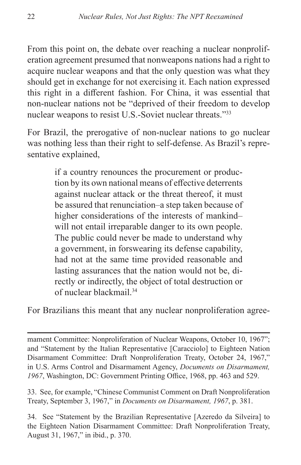From this point on, the debate over reaching a nuclear nonproliferation agreement presumed that nonweapons nations had a right to acquire nuclear weapons and that the only question was what they should get in exchange for not exercising it. Each nation expressed this right in a different fashion. For China, it was essential that non-nuclear nations not be "deprived of their freedom to develop nuclear weapons to resist U.S.-Soviet nuclear threats."33

For Brazil, the prerogative of non-nuclear nations to go nuclear was nothing less than their right to self-defense. As Brazil's representative explained,

> if a country renounces the procurement or production by its own national means of effective deterrents against nuclear attack or the threat thereof, it must be assured that renunciation–a step taken because of higher considerations of the interests of mankind– will not entail irreparable danger to its own people. The public could never be made to understand why a government, in forswearing its defense capability, had not at the same time provided reasonable and lasting assurances that the nation would not be, directly or indirectly, the object of total destruction or of nuclear blackmail.34

For Brazilians this meant that any nuclear nonproliferation agree-

mament Committee: Nonproliferation of Nuclear Weapons, October 10, 1967"; and "Statement by the Italian Representative [Caracciolo] to Eighteen Nation Disarmament Committee: Draft Nonproliferation Treaty, October 24, 1967," in U.S. Arms Control and Disarmament Agency, *Documents on Disarmament, 1967*, Washington, DC: Government Printing Office, 1968, pp. 463 and 529.

33. See, for example, "Chinese Communist Comment on Draft Nonproliferation Treaty, September 3, 1967," in *Documents on Disarmament, 1967*, p. 381.

34. See "Statement by the Brazilian Representative [Azeredo da Silveira] to the Eighteen Nation Disarmament Committee: Draft Nonproliferation Treaty, August 31, 1967," in ibid., p. 370.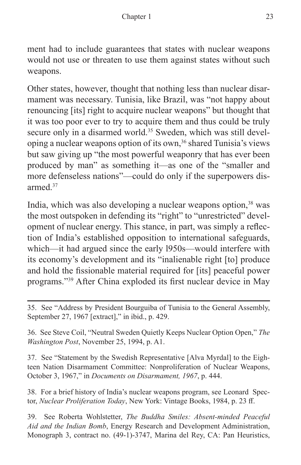ment had to include guarantees that states with nuclear weapons would not use or threaten to use them against states without such weapons.

Other states, however, thought that nothing less than nuclear disarmament was necessary. Tunisia, like Brazil, was "not happy about renouncing [its] right to acquire nuclear weapons" but thought that it was too poor ever to try to acquire them and thus could be truly secure only in a disarmed world.<sup>35</sup> Sweden, which was still developing a nuclear weapons option of its own,<sup>36</sup> shared Tunisia's views but saw giving up "the most powerful weaponry that has ever been produced by man" as something it—as one of the "smaller and more defenseless nations"—could do only if the superpowers disarmed<sup>37</sup>

India, which was also developing a nuclear weapons option,<sup>38</sup> was the most outspoken in defending its "right" to "unrestricted" development of nuclear energy. This stance, in part, was simply a reflection of India's established opposition to international safeguards, which—it had argued since the early l950s—would interfere with its economy's development and its "inalienable right [to] produce and hold the fissionable material required for [its] peaceful power programs."39 After China exploded its first nuclear device in May

36. See Steve Coil, "Neutral Sweden Quietly Keeps Nuclear Option Open," *The Washington Post*, November 25, 1994, p. A1.

37. See "Statement by the Swedish Representative [Alva Myrdal] to the Eighteen Nation Disarmament Committee: Nonproliferation of Nuclear Weapons, October 3, 1967," in *Documents on Disarmament, 1967*, p. 444.

38. For a brief history of India's nuclear weapons program, see Leonard Spector, *Nuclear Proliferation Today*, New York: Vintage Books, 1984, p. 23 ff.

39. See Roberta Wohlstetter, *The Buddha Smiles: Absent-minded Peaceful Aid and the Indian Bomb*, Energy Research and Development Administration, Monograph 3, contract no. (49-1)-3747, Marina del Rey, CA: Pan Heuristics,

<sup>35.</sup> See "Address by President Bourguiba of Tunisia to the General Assembly, September 27, 1967 [extract]," in ibid., p. 429.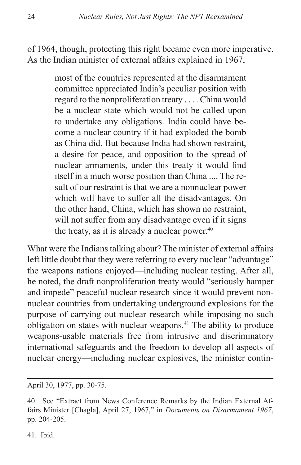of 1964, though, protecting this right became even more imperative. As the Indian minister of external affairs explained in 1967,

> most of the countries represented at the disarmament committee appreciated India's peculiar position with regard to the nonproliferation treaty . . . . China would be a nuclear state which would not be called upon to undertake any obligations. India could have become a nuclear country if it had exploded the bomb as China did. But because India had shown restraint, a desire for peace, and opposition to the spread of nuclear armaments, under this treaty it would find itself in a much worse position than China .... The result of our restraint is that we are a nonnuclear power which will have to suffer all the disadvantages. On the other hand, China, which has shown no restraint, will not suffer from any disadvantage even if it signs the treaty, as it is already a nuclear power. $40$

What were the Indians talking about? The minister of external affairs left little doubt that they were referring to every nuclear "advantage" the weapons nations enjoyed—including nuclear testing. After all, he noted, the draft nonproliferation treaty would "seriously hamper and impede" peaceful nuclear research since it would prevent nonnuclear countries from undertaking underground explosions for the purpose of carrying out nuclear research while imposing no such obligation on states with nuclear weapons.41 The ability to produce weapons-usable materials free from intrusive and discriminatory international safeguards and the freedom to develop all aspects of nuclear energy—including nuclear explosives, the minister contin-

April 30, 1977, pp. 30-75.

41. Ibid.

<sup>40.</sup> See "Extract from News Conference Remarks by the Indian External Affairs Minister [Chagla], April 27, 1967," in *Documents on Disarmament 1967*, pp. 204-205.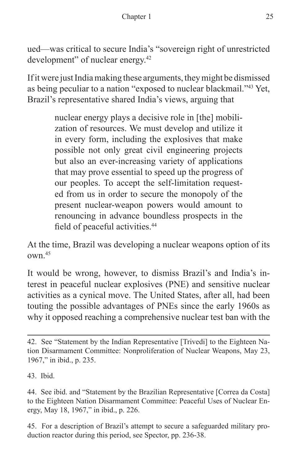ued—was critical to secure India's "sovereign right of unrestricted development" of nuclear energy.42

If it were just India making these arguments, they might be dismissed as being peculiar to a nation "exposed to nuclear blackmail."43 Yet, Brazil's representative shared India's views, arguing that

> nuclear energy plays a decisive role in [the] mobilization of resources. We must develop and utilize it in every form, including the explosives that make possible not only great civil engineering projects but also an ever-increasing variety of applications that may prove essential to speed up the progress of our peoples. To accept the self-limitation requested from us in order to secure the monopoly of the present nuclear-weapon powers would amount to renouncing in advance boundless prospects in the field of peaceful activities.<sup>44</sup>

At the time, Brazil was developing a nuclear weapons option of its own.45

It would be wrong, however, to dismiss Brazil's and India's interest in peaceful nuclear explosives (PNE) and sensitive nuclear activities as a cynical move. The United States, after all, had been touting the possible advantages of PNEs since the early 1960s as why it opposed reaching a comprehensive nuclear test ban with the

45. For a description of Brazil's attempt to secure a safeguarded military production reactor during this period, see Spector, pp. 236-38.

<sup>42.</sup> See "Statement by the Indian Representative [Trivedi] to the Eighteen Nation Disarmament Committee: Nonproliferation of Nuclear Weapons, May 23, 1967," in ibid., p. 235.

<sup>43.</sup> Ibid.

<sup>44.</sup> See ibid. and "Statement by the Brazilian Representative [Correa da Costa] to the Eighteen Nation Disarmament Committee: Peaceful Uses of Nuclear Energy, May 18, 1967," in ibid., p. 226.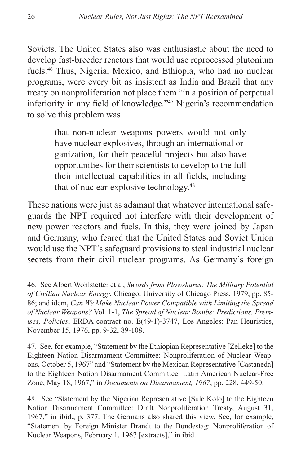Soviets. The United States also was enthusiastic about the need to develop fast-breeder reactors that would use reprocessed plutonium fuels.46 Thus, Nigeria, Mexico, and Ethiopia, who had no nuclear programs, were every bit as insistent as India and Brazil that any treaty on nonproliferation not place them "in a position of perpetual inferiority in any field of knowledge."47 Nigeria's recommendation to solve this problem was

> that non-nuclear weapons powers would not only have nuclear explosives, through an international organization, for their peaceful projects but also have opportunities for their scientists to develop to the full their intellectual capabilities in all fields, including that of nuclear-explosive technology.<sup>48</sup>

These nations were just as adamant that whatever international safeguards the NPT required not interfere with their development of new power reactors and fuels. In this, they were joined by Japan and Germany, who feared that the United States and Soviet Union would use the NPT's safeguard provisions to steal industrial nuclear secrets from their civil nuclear programs. As Germany's foreign

47. See, for example, "Statement by the Ethiopian Representative [Zelleke] to the Eighteen Nation Disarmament Committee: Nonproliferation of Nuclear Weapons, October 5, 1967" and "Statement by the Mexican Representative [Castaneda] to the Eighteen Nation Disarmament Committee: Latin American Nuclear-Free Zone, May 18, 1967," in *Documents on Disarmament, 1967*, pp. 228, 449-50.

48. See "Statement by the Nigerian Representative [Sule Kolo] to the Eighteen Nation Disarmament Committee: Draft Nonproliferation Treaty, August 31, 1967," in ibid., p. 377. The Germans also shared this view. See, for example, "Statement by Foreign Minister Brandt to the Bundestag: Nonproliferation of Nuclear Weapons, February 1. 1967 [extracts]," in ibid.

<sup>46.</sup> See Albert Wohlstetter et al, *Swords from Plowshares: The Military Potential of Civilian Nuclear Energy*, Chicago: University of Chicago Press, 1979, pp. 85- 86; and idem, *Can We Make Nuclear Power Compatible with Limiting the Spread of Nuclear Weapons?* Vol. 1-1, *The Spread of Nuclear Bombs: Predictions, Premises, Policies*, ERDA contract no. E(49-1)-3747, Los Angeles: Pan Heuristics, November 15, 1976, pp. 9-32, 89-108.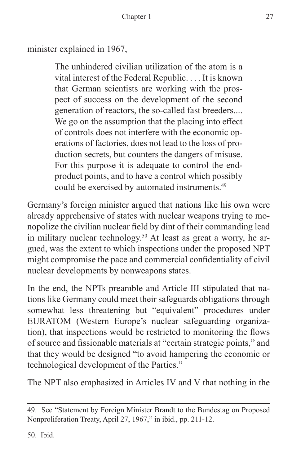minister explained in 1967,

The unhindered civilian utilization of the atom is a vital interest of the Federal Republic. . . . It is known that German scientists are working with the prospect of success on the development of the second generation of reactors, the so-called fast breeders.... We go on the assumption that the placing into effect of controls does not interfere with the economic operations of factories, does not lead to the loss of production secrets, but counters the dangers of misuse. For this purpose it is adequate to control the endproduct points, and to have a control which possibly could be exercised by automated instruments.49

Germany's foreign minister argued that nations like his own were already apprehensive of states with nuclear weapons trying to monopolize the civilian nuclear field by dint of their commanding lead in military nuclear technology.<sup>50</sup> At least as great a worry, he argued, was the extent to which inspections under the proposed NPT might compromise the pace and commercial confidentiality of civil nuclear developments by nonweapons states.

In the end, the NPTs preamble and Article III stipulated that nations like Germany could meet their safeguards obligations through somewhat less threatening but "equivalent" procedures under EURATOM (Western Europe's nuclear safeguarding organization), that inspections would be restricted to monitoring the flows of source and fissionable materials at "certain strategic points," and that they would be designed "to avoid hampering the economic or technological development of the Parties."

The NPT also emphasized in Articles IV and V that nothing in the

50. Ibid.

<sup>49.</sup> See "Statement by Foreign Minister Brandt to the Bundestag on Proposed Nonproliferation Treaty, April 27, 1967," in ibid., pp. 211-12.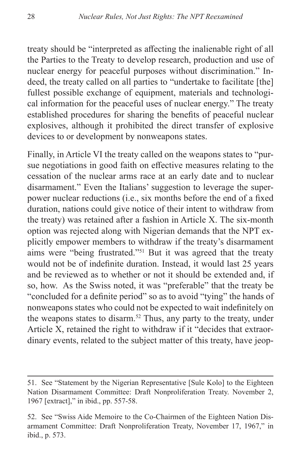treaty should be "interpreted as affecting the inalienable right of all the Parties to the Treaty to develop research, production and use of nuclear energy for peaceful purposes without discrimination." Indeed, the treaty called on all parties to "undertake to facilitate [the] fullest possible exchange of equipment, materials and technological information for the peaceful uses of nuclear energy." The treaty established procedures for sharing the benefits of peaceful nuclear explosives, although it prohibited the direct transfer of explosive devices to or development by nonweapons states.

Finally, in Article VI the treaty called on the weapons states to "pursue negotiations in good faith on effective measures relating to the cessation of the nuclear arms race at an early date and to nuclear disarmament." Even the Italians' suggestion to leverage the superpower nuclear reductions (i.e., six months before the end of a fixed duration, nations could give notice of their intent to withdraw from the treaty) was retained after a fashion in Article X. The six-month option was rejected along with Nigerian demands that the NPT explicitly empower members to withdraw if the treaty's disarmament aims were "being frustrated."51 But it was agreed that the treaty would not be of indefinite duration. Instead, it would last 25 years and be reviewed as to whether or not it should be extended and, if so, how. As the Swiss noted, it was "preferable" that the treaty be "concluded for a definite period" so as to avoid "tying" the hands of nonweapons states who could not be expected to wait indefinitely on the weapons states to disarm.<sup>52</sup> Thus, any party to the treaty, under Article X, retained the right to withdraw if it "decides that extraordinary events, related to the subject matter of this treaty, have jeop-

<sup>51.</sup> See "Statement by the Nigerian Representative [Sule Kolo] to the Eighteen Nation Disarmament Committee: Draft Nonproliferation Treaty. November 2, 1967 [extract]," in ibid., pp. 557-58.

<sup>52.</sup> See "Swiss Aide Memoire to the Co-Chairmen of the Eighteen Nation Disarmament Committee: Draft Nonproliferation Treaty, November 17, 1967," in ibid., p. 573.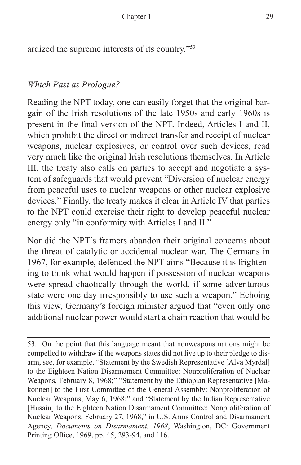ardized the supreme interests of its country."53

#### *Which Past as Prologue?*

Reading the NPT today, one can easily forget that the original bargain of the Irish resolutions of the late 1950s and early 1960s is present in the final version of the NPT. Indeed, Articles I and II, which prohibit the direct or indirect transfer and receipt of nuclear weapons, nuclear explosives, or control over such devices, read very much like the original Irish resolutions themselves. In Article III, the treaty also calls on parties to accept and negotiate a system of safeguards that would prevent "Diversion of nuclear energy from peaceful uses to nuclear weapons or other nuclear explosive devices." Finally, the treaty makes it clear in Article IV that parties to the NPT could exercise their right to develop peaceful nuclear energy only "in conformity with Articles I and II."

Nor did the NPT's framers abandon their original concerns about the threat of catalytic or accidental nuclear war. The Germans in 1967, for example, defended the NPT aims "Because it is frightening to think what would happen if possession of nuclear weapons were spread chaotically through the world, if some adventurous state were one day irresponsibly to use such a weapon." Echoing this view, Germany's foreign minister argued that "even only one additional nuclear power would start a chain reaction that would be

53. On the point that this language meant that nonweapons nations might be compelled to withdraw if the weapons states did not live up to their pledge to disarm, see, for example, "Statement by the Swedish Representative [Alva Myrdal] to the Eighteen Nation Disarmament Committee: Nonproliferation of Nuclear Weapons, February 8, 1968;" "Statement by the Ethiopian Representative [Makonnen] to the First Committee of the General Assembly: Nonproliferation of Nuclear Weapons, May 6, 1968;" and "Statement by the Indian Representative [Husain] to the Eighteen Nation Disarmament Committee: Nonproliferation of Nuclear Weapons, February 27, 1968," in U.S. Arms Control and Disarmament Agency, *Documents on Disarmament, 1968*, Washington, DC: Government Printing Office, 1969, pp. 45, 293-94, and 116.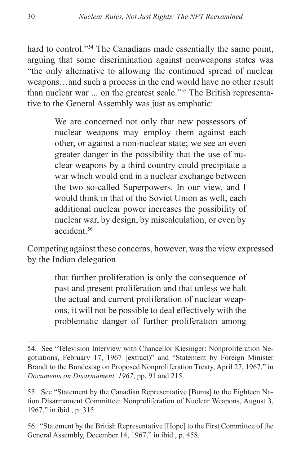hard to control."<sup>54</sup> The Canadians made essentially the same point, arguing that some discrimination against nonweapons states was "the only alternative to allowing the continued spread of nuclear weapons…and such a process in the end would have no other result than nuclear war ... on the greatest scale."55 The British representative to the General Assembly was just as emphatic:

> We are concerned not only that new possessors of nuclear weapons may employ them against each other, or against a non-nuclear state; we see an even greater danger in the possibility that the use of nuclear weapons by a third country could precipitate a war which would end in a nuclear exchange between the two so-called Superpowers. In our view, and I would think in that of the Soviet Union as well, each additional nuclear power increases the possibility of nuclear war, by design, by miscalculation, or even by accident<sup>56</sup>

Competing against these concerns, however, was the view expressed by the Indian delegation

> that further proliferation is only the consequence of past and present proliferation and that unless we halt the actual and current proliferation of nuclear weapons, it will not be possible to deal effectively with the problematic danger of further proliferation among

56. "Statement by the British Representative [Hope] to the First Committee of the General Assembly, December 14, 1967," in ibid., p. 458.

<sup>54.</sup> See "Television Interview with Chancellor Kiesinger: Nonproliferation Negotiations, February 17, 1967 [extract)" and "Statement by Foreign Minister Brandt to the Bundestag on Proposed Nonproliferation Treaty, April 27, 1967," in *Documents on Disarmament, 1967*, pp. 91 and 215.

<sup>55.</sup> See "Statement by the Canadian Representative [Bums] to the Eighteen Nation Disarmament Committee: Nonproliferation of Nuclear Weapons, August 3, 1967," in ibid., p. 315.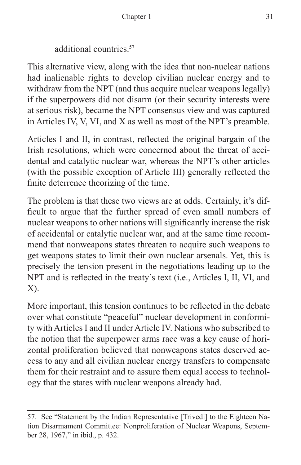additional countries.57

This alternative view, along with the idea that non-nuclear nations had inalienable rights to develop civilian nuclear energy and to withdraw from the NPT (and thus acquire nuclear weapons legally) if the superpowers did not disarm (or their security interests were at serious risk), became the NPT consensus view and was captured in Articles IV, V, VI, and X as well as most of the NPT's preamble.

Articles I and II, in contrast, reflected the original bargain of the Irish resolutions, which were concerned about the threat of accidental and catalytic nuclear war, whereas the NPT's other articles (with the possible exception of Article III) generally reflected the finite deterrence theorizing of the time.

The problem is that these two views are at odds. Certainly, it's difficult to argue that the further spread of even small numbers of nuclear weapons to other nations will significantly increase the risk of accidental or catalytic nuclear war, and at the same time recommend that nonweapons states threaten to acquire such weapons to get weapons states to limit their own nuclear arsenals. Yet, this is precisely the tension present in the negotiations leading up to the NPT and is reflected in the treaty's text (i.e., Articles I, II, VI, and X).

More important, this tension continues to be reflected in the debate over what constitute "peaceful" nuclear development in conformity with Articles I and II under Article IV. Nations who subscribed to the notion that the superpower arms race was a key cause of horizontal proliferation believed that nonweapons states deserved access to any and all civilian nuclear energy transfers to compensate them for their restraint and to assure them equal access to technology that the states with nuclear weapons already had.

<sup>57.</sup> See "Statement by the Indian Representative [Trivedi] to the Eighteen Nation Disarmament Committee: Nonproliferation of Nuclear Weapons, September 28, 1967," in ibid., p. 432.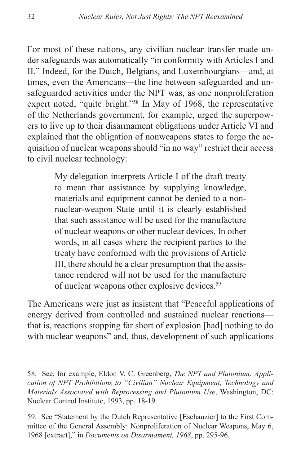For most of these nations, any civilian nuclear transfer made under safeguards was automatically "in conformity with Articles I and II." Indeed, for the Dutch, Belgians, and Luxembourgians—and, at times, even the Americans—the line between safeguarded and unsafeguarded activities under the NPT was, as one nonproliferation expert noted, "quite bright."58 In May of 1968, the representative of the Netherlands government, for example, urged the superpowers to live up to their disarmament obligations under Article VI and explained that the obligation of nonweapons states to forgo the acquisition of nuclear weapons should "in no way" restrict their access to civil nuclear technology:

> My delegation interprets Article I of the draft treaty to mean that assistance by supplying knowledge, materials and equipment cannot be denied to a nonnuclear-weapon State until it is clearly established that such assistance will be used for the manufacture of nuclear weapons or other nuclear devices. In other words, in all cases where the recipient parties to the treaty have conformed with the provisions of Article III, there should be a clear presumption that the assistance rendered will not be used for the manufacture of nuclear weapons other explosive devices.<sup>59</sup>

The Americans were just as insistent that "Peaceful applications of energy derived from controlled and sustained nuclear reactions that is, reactions stopping far short of explosion [had] nothing to do with nuclear weapons" and, thus, development of such applications

<sup>58.</sup> See, for example, Eldon V. C. Greenberg, *The NPT and Plutonium: Application of NPT Prohibitions to "Civilian" Nuclear Equipment, Technology and Materials Associated with Reprocessing and Plutonium Use*, Washington, DC: Nuclear Control Institute, 1993, pp. 18-19.

<sup>59.</sup> See "Statement by the Dutch Representative [Eschauzier] to the First Committee of the General Assembly: Nonproliferation of Nuclear Weapons, May 6, 1968 [extract]," in *Documents on Disarmament, 1968*, pp. 295-96.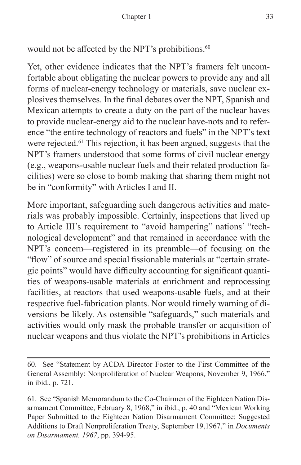would not be affected by the NPT's prohibitions.<sup>60</sup>

Yet, other evidence indicates that the NPT's framers felt uncomfortable about obligating the nuclear powers to provide any and all forms of nuclear-energy technology or materials, save nuclear explosives themselves. In the final debates over the NPT, Spanish and Mexican attempts to create a duty on the part of the nuclear haves to provide nuclear-energy aid to the nuclear have-nots and to reference "the entire technology of reactors and fuels" in the NPT's text were rejected.61 This rejection, it has been argued, suggests that the NPT's framers understood that some forms of civil nuclear energy (e.g., weapons-usable nuclear fuels and their related production facilities) were so close to bomb making that sharing them might not be in "conformity" with Articles I and II.

More important, safeguarding such dangerous activities and materials was probably impossible. Certainly, inspections that lived up to Article III's requirement to "avoid hampering" nations' "technological development" and that remained in accordance with the NPT's concern—registered in its preamble—of focusing on the "flow" of source and special fissionable materials at "certain strategic points" would have difficulty accounting for significant quantities of weapons-usable materials at enrichment and reprocessing facilities, at reactors that used weapons-usable fuels, and at their respective fuel-fabrication plants. Nor would timely warning of diversions be likely. As ostensible "safeguards," such materials and activities would only mask the probable transfer or acquisition of nuclear weapons and thus violate the NPT's prohibitions in Articles

<sup>60.</sup> See "Statement by ACDA Director Foster to the First Committee of the General Assembly: Nonproliferation of Nuclear Weapons, November 9, 1966," in ibid., p. 721.

<sup>61.</sup> See "Spanish Memorandum to the Co-Chairmen of the Eighteen Nation Disarmament Committee, February 8, 1968," in ibid., p. 40 and "Mexican Working Paper Submitted to the Eighteen Nation Disarmament Committee: Suggested Additions to Draft Nonproliferation Treaty, September 19,1967," in *Documents on Disarmament, 1967*, pp. 394-95.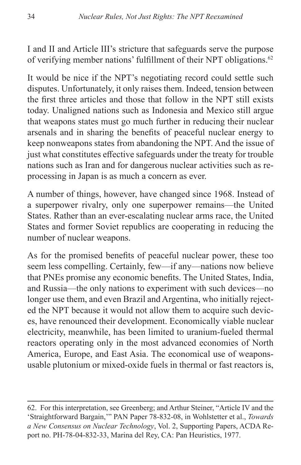I and II and Article III's stricture that safeguards serve the purpose of verifying member nations' fulfillment of their NPT obligations.<sup>62</sup>

It would be nice if the NPT's negotiating record could settle such disputes. Unfortunately, it only raises them. Indeed, tension between the first three articles and those that follow in the NPT still exists today. Unaligned nations such as Indonesia and Mexico still argue that weapons states must go much further in reducing their nuclear arsenals and in sharing the benefits of peaceful nuclear energy to keep nonweapons states from abandoning the NPT. And the issue of just what constitutes effective safeguards under the treaty for trouble nations such as Iran and for dangerous nuclear activities such as reprocessing in Japan is as much a concern as ever.

A number of things, however, have changed since 1968. Instead of a superpower rivalry, only one superpower remains—the United States. Rather than an ever-escalating nuclear arms race, the United States and former Soviet republics are cooperating in reducing the number of nuclear weapons.

As for the promised benefits of peaceful nuclear power, these too seem less compelling. Certainly, few—if any—nations now believe that PNEs promise any economic benefits. The United States, India, and Russia—the only nations to experiment with such devices—no longer use them, and even Brazil and Argentina, who initially rejected the NPT because it would not allow them to acquire such devices, have renounced their development. Economically viable nuclear electricity, meanwhile, has been limited to uranium-fueled thermal reactors operating only in the most advanced economies of North America, Europe, and East Asia. The economical use of weaponsusable plutonium or mixed-oxide fuels in thermal or fast reactors is,

<sup>62.</sup> For this interpretation, see Greenberg; and Arthur Steiner, "Article IV and the 'Straightforward Bargain,'" PAN Paper 78-832-08, in Wohlstetter et al., *Towards a New Consensus on Nuclear Technology*, Vol. 2, Supporting Papers, ACDA Report no. PH-78-04-832-33, Marina del Rey, CA: Pan Heuristics, 1977.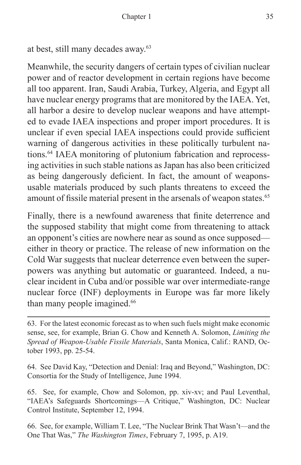```
at best, still many decades away.63
```
Meanwhile, the security dangers of certain types of civilian nuclear power and of reactor development in certain regions have become all too apparent. Iran, Saudi Arabia, Turkey, Algeria, and Egypt all have nuclear energy programs that are monitored by the IAEA. Yet, all harbor a desire to develop nuclear weapons and have attempted to evade IAEA inspections and proper import procedures. It is unclear if even special IAEA inspections could provide sufficient warning of dangerous activities in these politically turbulent nations.<sup>64</sup> IAEA monitoring of plutonium fabrication and reprocessing activities in such stable nations as Japan has also been criticized as being dangerously deficient. In fact, the amount of weaponsusable materials produced by such plants threatens to exceed the amount of fissile material present in the arsenals of weapon states.<sup>65</sup>

Finally, there is a newfound awareness that finite deterrence and the supposed stability that might come from threatening to attack an opponent's cities are nowhere near as sound as once supposed either in theory or practice. The release of new information on the Cold War suggests that nuclear deterrence even between the superpowers was anything but automatic or guaranteed. Indeed, a nuclear incident in Cuba and/or possible war over intermediate-range nuclear force (INF) deployments in Europe was far more likely than many people imagined.<sup>66</sup>

63. For the latest economic forecast as to when such fuels might make economic sense, see, for example, Brian G. Chow and Kenneth A. Solomon, *Limiting the Spread of Weapon-Usable Fissile Materials*, Santa Monica, Calif.: RAND, October 1993, pp. 25-54.

64. See David Kay, "Detection and Denial: Iraq and Beyond," Washington, DC: Consortia for the Study of Intelligence, June 1994.

65. See, for example, Chow and Solomon, pp. xiv-xv; and Paul Leventhal, "IAEA's Safeguards Shortcomings—A Critique," Washington, DC: Nuclear Control Institute, September 12, 1994.

66. See, for example, William T. Lee, "The Nuclear Brink That Wasn't—and the One That Was," *The Washington Times*, February 7, 1995, p. A19.